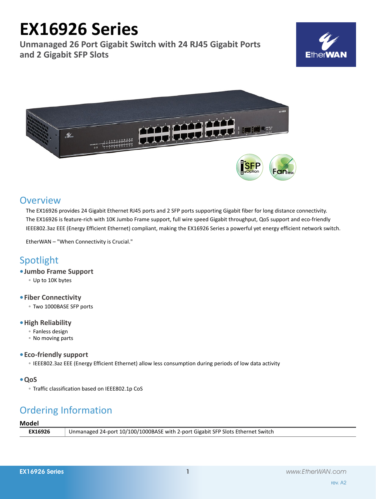# **EX16926 Series**

**Unmanaged 26 Port Gigabit Switch with 24 RJ45 Gigabit Ports and 2 Gigabit SFP Slots**





# **Overview**

The EX16926 provides 24 Gigabit Ethernet RJ45 ports and 2 SFP ports supporting Gigabit fiber for long distance connectivity. The EX16926 is feature-rich with 10K Jumbo Frame support, full wire speed Gigabit throughput, QoS support and eco-friendly IEEE802.3az EEE (Energy Efficient Ethernet) compliant, making the EX16926 Series a powerful yet energy efficient network switch.

EtherWAN – "When Connectivity is Crucial."

# Spotlight

- **• Jumbo Frame Support**
	- Up to 10K bytes
- **• Fiber Connectivity**
	- Two 1000BASE SFP ports

# **• High Reliability**

- Fanless design
- No moving parts
- **• Eco-friendly support**
	- IEEE802.3az EEE (Energy Efficient Ethernet) allow less consumption during periods of low data activity
- **• QoS**
	- Traffic classification based on IEEE802.1p CoS

# Ordering Information

# **Model**

| .              |                                                                                 |
|----------------|---------------------------------------------------------------------------------|
| <b>EX16926</b> | Unmanaged 24-port 10/100/1000BASE with 2-port Gigabit SFP Slots Ethernet Switch |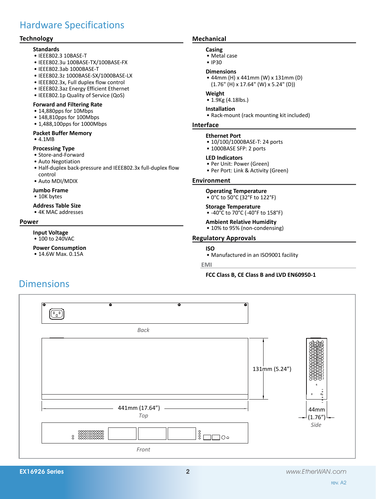# Hardware Specifications

# **Technology**

#### **Standards**

- • IEEE802.3 10BASE-T
- • IEEE802.3u 100BASE-TX/100BASE-FX
- • IEEE802.3ab 1000BASE-T
- • IEEE802.3z 1000BASE-SX/1000BASE-LX
- • IEEE802.3x, Full duplex flow control
- • IEEE802.3az Energy Efficient Ethernet
- IEEE802.1p Quality of Service (QoS)

#### **Forward and Filtering Rate**

- • 14,880pps for 10Mbps
- 148,810pps for 100Mbps
- 1,488,100pps for 1000Mbps

#### **Packet Buffer Memory**

• 4.1MB

#### **Processing Type**

- Store-and-Forward
- Auto Negotiation
- Half-duplex back-pressure and IEEE802.3x full-duplex flow control
- • Auto MDI/MDIX

#### **Jumbo Frame**

• 10K bytes

#### **Address Table Size**

• 4K MAC addresses

#### **Power**

#### **Input Voltage** • 100 to 240VAC

**Power Consumption** • 14.6W Max. 0.15A

# **Mechanical**

#### **Casing**

- • Metal case
- • IP30

#### **Dimensions**

• 44mm (H) x 441mm (W) x 131mm (D) (1.76" (H) x 17.64" (W) x 5.24" (D))

### **Weight**

• 1.9Kg (4.18lbs.)

#### **Installation**

• Rack-mount (rack mounting kit included)

### **Interface**

#### **Ethernet Port**

- 10/100/1000BASE-T: 24 ports
- 1000BASE SFP: 2 ports

#### **LED Indicators**

- • Per Unit: Power (Green)
- Per Port: Link & Activity (Green)

#### **Environment**

#### **Operating Temperature**

• 0°C to 50°C (32°F to 122°F)

### **Storage Temperature**

• -40°C to 70°C (-40°F to 158°F)

# **Ambient Relative Humidity**

• 10% to 95% (non-condensing)

### **Regulatory Approvals**

# **ISO**

• Manufactured in an ISO9001 facility

#### **EMI**

### **FCC Class B, CE Class B and LVD EN60950-1**